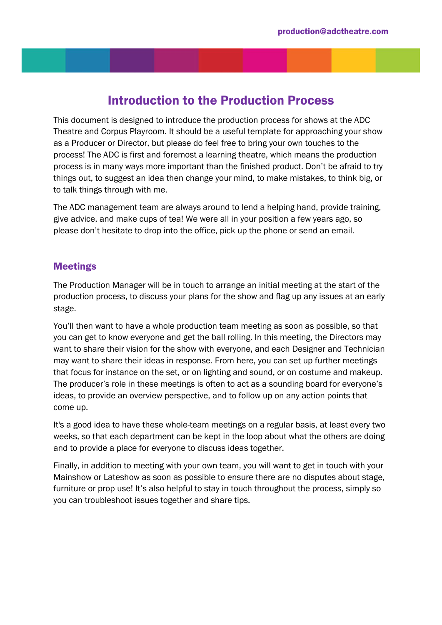# Introduction to the Production Process

This document is designed to introduce the production process for shows at the ADC Theatre and Corpus Playroom. It should be a useful template for approaching your show as a Producer or Director, but please do feel free to bring your own touches to the process! The ADC is first and foremost a learning theatre, which means the production process is in many ways more important than the finished product. Don't be afraid to try things out, to suggest an idea then change your mind, to make mistakes, to think big, or to talk things through with me.

The ADC management team are always around to lend a helping hand, provide training, give advice, and make cups of tea! We were all in your position a few years ago, so please don't hesitate to drop into the office, pick up the phone or send an email.

# Meetings

The Production Manager will be in touch to arrange an initial meeting at the start of the production process, to discuss your plans for the show and flag up any issues at an early stage.

You'll then want to have a whole production team meeting as soon as possible, so that you can get to know everyone and get the ball rolling. In this meeting, the Directors may want to share their vision for the show with everyone, and each Designer and Technician may want to share their ideas in response. From here, you can set up further meetings that focus for instance on the set, or on lighting and sound, or on costume and makeup. The producer's role in these meetings is often to act as a sounding board for everyone's ideas, to provide an overview perspective, and to follow up on any action points that come up.

It's a good idea to have these whole-team meetings on a regular basis, at least every two weeks, so that each department can be kept in the loop about what the others are doing and to provide a place for everyone to discuss ideas together.

Finally, in addition to meeting with your own team, you will want to get in touch with your Mainshow or Lateshow as soon as possible to ensure there are no disputes about stage, furniture or prop use! It's also helpful to stay in touch throughout the process, simply so you can troubleshoot issues together and share tips.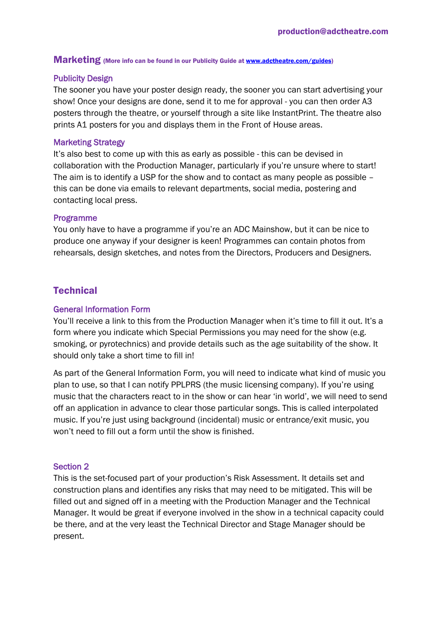# Marketing (More info can be found in our Publicity Guide a[t www.adctheatre.com/guides\)](http://www.adctheatre.com/guides)

## Publicity Design

The sooner you have your poster design ready, the sooner you can start advertising your show! Once your designs are done, send it to me for approval - you can then order A3 posters through the theatre, or yourself through a site like InstantPrint. The theatre also prints A1 posters for you and displays them in the Front of House areas.

### Marketing Strategy

It's also best to come up with this as early as possible - this can be devised in collaboration with the Production Manager, particularly if you're unsure where to start! The aim is to identify a USP for the show and to contact as many people as possible – this can be done via emails to relevant departments, social media, postering and contacting local press.

#### Programme

You only have to have a programme if you're an ADC Mainshow, but it can be nice to produce one anyway if your designer is keen! Programmes can contain photos from rehearsals, design sketches, and notes from the Directors, Producers and Designers.

# **Technical**

### General Information Form

You'll receive a link to this from the Production Manager when it's time to fill it out. It's a form where you indicate which Special Permissions you may need for the show (e.g. smoking, or pyrotechnics) and provide details such as the age suitability of the show. It should only take a short time to fill in!

As part of the General Information Form, you will need to indicate what kind of music you plan to use, so that I can notify PPLPRS (the music licensing company). If you're using music that the characters react to in the show or can hear 'in world', we will need to send off an application in advance to clear those particular songs. This is called interpolated music. If you're just using background (incidental) music or entrance/exit music, you won't need to fill out a form until the show is finished.

#### Section 2

This is the set-focused part of your production's Risk Assessment. It details set and construction plans and identifies any risks that may need to be mitigated. This will be filled out and signed off in a meeting with the Production Manager and the Technical Manager. It would be great if everyone involved in the show in a technical capacity could be there, and at the very least the Technical Director and Stage Manager should be present.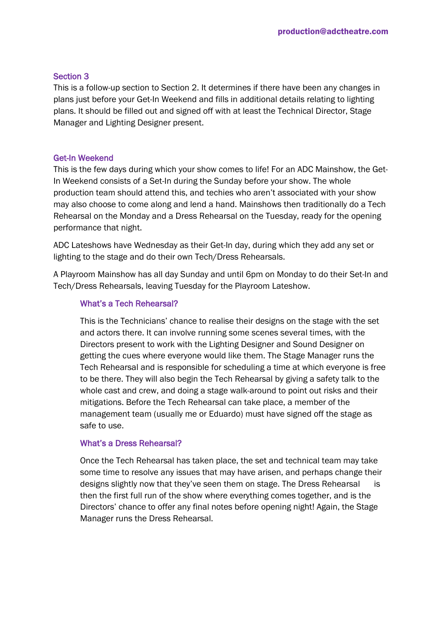## Section 3

This is a follow-up section to Section 2. It determines if there have been any changes in plans just before your Get-In Weekend and fills in additional details relating to lighting plans. It should be filled out and signed off with at least the Technical Director, Stage Manager and Lighting Designer present.

#### Get-In Weekend

This is the few days during which your show comes to life! For an ADC Mainshow, the Get-In Weekend consists of a Set-In during the Sunday before your show. The whole production team should attend this, and techies who aren't associated with your show may also choose to come along and lend a hand. Mainshows then traditionally do a Tech Rehearsal on the Monday and a Dress Rehearsal on the Tuesday, ready for the opening performance that night.

ADC Lateshows have Wednesday as their Get-In day, during which they add any set or lighting to the stage and do their own Tech/Dress Rehearsals.

A Playroom Mainshow has all day Sunday and until 6pm on Monday to do their Set-In and Tech/Dress Rehearsals, leaving Tuesday for the Playroom Lateshow.

#### What's a Tech Rehearsal?

This is the Technicians' chance to realise their designs on the stage with the set and actors there. It can involve running some scenes several times, with the Directors present to work with the Lighting Designer and Sound Designer on getting the cues where everyone would like them. The Stage Manager runs the Tech Rehearsal and is responsible for scheduling a time at which everyone is free to be there. They will also begin the Tech Rehearsal by giving a safety talk to the whole cast and crew, and doing a stage walk-around to point out risks and their mitigations. Before the Tech Rehearsal can take place, a member of the management team (usually me or Eduardo) must have signed off the stage as safe to use.

#### What's a Dress Rehearsal?

Once the Tech Rehearsal has taken place, the set and technical team may take some time to resolve any issues that may have arisen, and perhaps change their designs slightly now that they've seen them on stage. The Dress Rehearsal is then the first full run of the show where everything comes together, and is the Directors' chance to offer any final notes before opening night! Again, the Stage Manager runs the Dress Rehearsal.